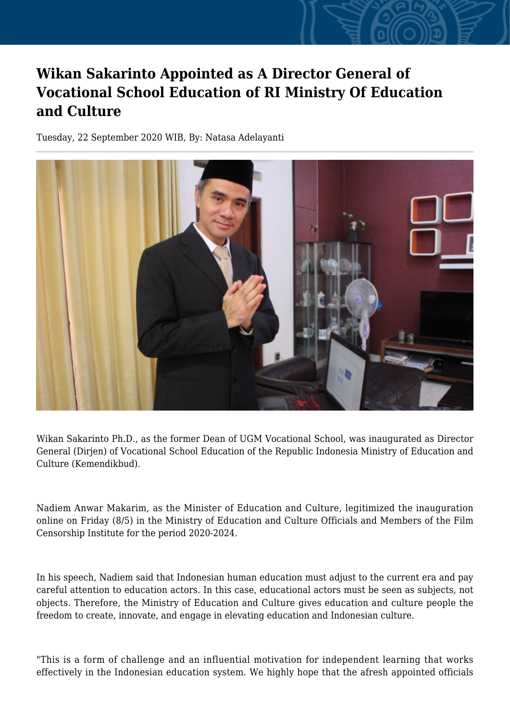## **Wikan Sakarinto Appointed as A Director General of Vocational School Education of RI Ministry Of Education and Culture**

Tuesday, 22 September 2020 WIB, By: Natasa Adelayanti



Wikan Sakarinto Ph.D., as the former Dean of UGM Vocational School, was inaugurated as Director General (Dirjen) of Vocational School Education of the Republic Indonesia Ministry of Education and Culture (Kemendikbud).

Nadiem Anwar Makarim, as the Minister of Education and Culture, legitimized the inauguration online on Friday (8/5) in the Ministry of Education and Culture Officials and Members of the Film Censorship Institute for the period 2020-2024.

In his speech, Nadiem said that Indonesian human education must adjust to the current era and pay careful attention to education actors. In this case, educational actors must be seen as subjects, not objects. Therefore, the Ministry of Education and Culture gives education and culture people the freedom to create, innovate, and engage in elevating education and Indonesian culture.

"This is a form of challenge and an influential motivation for independent learning that works effectively in the Indonesian education system. We highly hope that the afresh appointed officials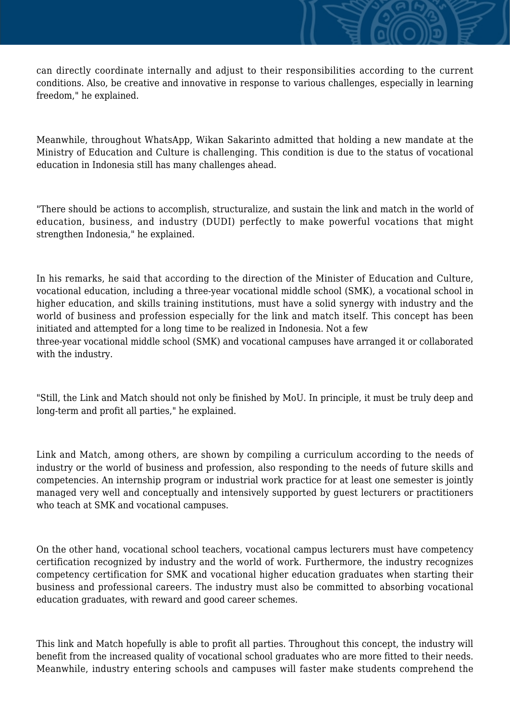can directly coordinate internally and adjust to their responsibilities according to the current conditions. Also, be creative and innovative in response to various challenges, especially in learning freedom," he explained.

Meanwhile, throughout WhatsApp, Wikan Sakarinto admitted that holding a new mandate at the Ministry of Education and Culture is challenging. This condition is due to the status of vocational education in Indonesia still has many challenges ahead.

"There should be actions to accomplish, structuralize, and sustain the link and match in the world of education, business, and industry (DUDI) perfectly to make powerful vocations that might strengthen Indonesia," he explained.

In his remarks, he said that according to the direction of the Minister of Education and Culture, vocational education, including a three-year vocational middle school (SMK), a vocational school in higher education, and skills training institutions, must have a solid synergy with industry and the world of business and profession especially for the link and match itself. This concept has been initiated and attempted for a long time to be realized in Indonesia. Not a few three-year vocational middle school (SMK) and vocational campuses have arranged it or collaborated with the industry.

"Still, the Link and Match should not only be finished by MoU. In principle, it must be truly deep and long-term and profit all parties," he explained.

Link and Match, among others, are shown by compiling a curriculum according to the needs of industry or the world of business and profession, also responding to the needs of future skills and competencies. An internship program or industrial work practice for at least one semester is jointly managed very well and conceptually and intensively supported by guest lecturers or practitioners who teach at SMK and vocational campuses.

On the other hand, vocational school teachers, vocational campus lecturers must have competency certification recognized by industry and the world of work. Furthermore, the industry recognizes competency certification for SMK and vocational higher education graduates when starting their business and professional careers. The industry must also be committed to absorbing vocational education graduates, with reward and good career schemes.

This link and Match hopefully is able to profit all parties. Throughout this concept, the industry will benefit from the increased quality of vocational school graduates who are more fitted to their needs. Meanwhile, industry entering schools and campuses will faster make students comprehend the